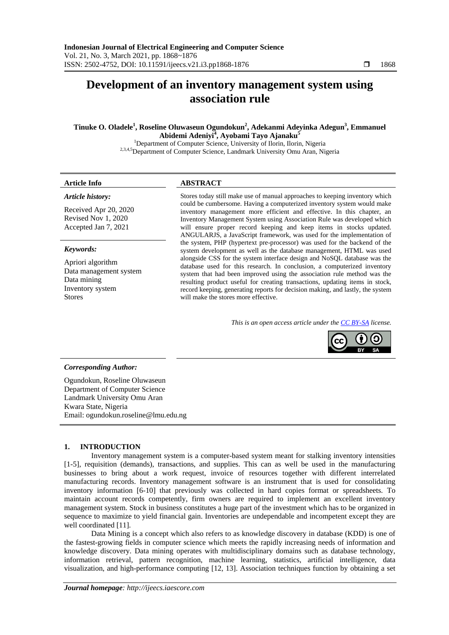# **Development of an inventory management system using association rule**

**Tinuke O. Oladele<sup>1</sup> , Roseline Oluwaseun Ogundokun<sup>2</sup> , Adekanmi Adeyinka Adegun<sup>3</sup> , Emmanuel Abidemi Adeniyi<sup>4</sup> , Ayobami Tayo Ajanaku<sup>5</sup>**

<sup>1</sup>Department of Computer Science, University of Ilorin, Ilorin, Nigeria 2,3,4,5Department of Computer Science, Landmark University Omu Aran, Nigeria

### **Article Info ABSTRACT**

#### *Article history:*

Received Apr 20, 2020 Revised Nov 1, 2020 Accepted Jan 7, 2021

#### *Keywords:*

Apriori algorithm Data management system Data mining Inventory system Stores

Stores today still make use of manual approaches to keeping inventory which could be cumbersome. Having a computerized inventory system would make inventory management more efficient and effective. In this chapter, an Inventory Management System using Association Rule was developed which will ensure proper record keeping and keep items in stocks updated. ANGULARJS, a JavaScript framework, was used for the implementation of the system, PHP (hypertext pre-processor) was used for the backend of the system development as well as the database management, HTML was used alongside CSS for the system interface design and NoSQL database was the database used for this research. In conclusion, a computerized inventory system that had been improved using the association rule method was the resulting product useful for creating transactions, updating items in stock, record keeping, generating reports for decision making, and lastly, the system will make the stores more effective.

*This is an open access article under the [CC BY-SA](https://creativecommons.org/licenses/by-sa/4.0/) license.*



#### *Corresponding Author:*

Ogundokun, Roseline Oluwaseun Department of Computer Science Landmark University Omu Aran Kwara State, Nigeria Email: ogundokun.roseline@lmu.edu.ng

#### **1. INTRODUCTION**

Inventory management system is a computer-based system meant for stalking inventory intensities [1-5], requisition (demands), transactions, and supplies. This can as well be used in the manufacturing businesses to bring about a work request, invoice of resources together with different interrelated manufacturing records. Inventory management software is an instrument that is used for consolidating inventory information [6-10] that previously was collected in hard copies format or spreadsheets. To maintain account records competently, firm owners are required to implement an excellent inventory management system. Stock in business constitutes a huge part of the investment which has to be organized in sequence to maximize to yield financial gain. Inventories are undependable and incompetent except they are well coordinated [11].

Data Mining is a concept which also refers to as knowledge discovery in database (KDD) is one of the fastest-growing fields in computer science which meets the rapidly increasing needs of information and knowledge discovery. Data mining operates with multidisciplinary domains such as database technology, information retrieval, pattern recognition, machine learning, statistics, artificial intelligence, data visualization, and high-performance computing [12, 13]. Association techniques function by obtaining a set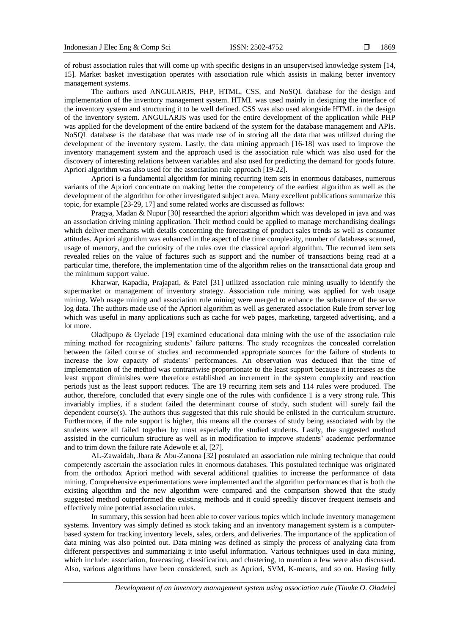of robust association rules that will come up with specific designs in an unsupervised knowledge system [14, 15]. Market basket investigation operates with association rule which assists in making better inventory management systems.

The authors used ANGULARJS, PHP, HTML, CSS, and NoSQL database for the design and implementation of the inventory management system. HTML was used mainly in designing the interface of the inventory system and structuring it to be well defined. CSS was also used alongside HTML in the design of the inventory system. ANGULARJS was used for the entire development of the application while PHP was applied for the development of the entire backend of the system for the database management and APIs. NoSQL database is the database that was made use of in storing all the data that was utilized during the development of the inventory system. Lastly, the data mining approach [16-18] was used to improve the inventory management system and the approach used is the association rule which was also used for the discovery of interesting relations between variables and also used for predicting the demand for goods future. Apriori algorithm was also used for the association rule approach [19-22].

Apriori is a fundamental algorithm for mining recurring item sets in enormous databases, numerous variants of the Apriori concentrate on making better the competency of the earliest algorithm as well as the development of the algorithm for other investigated subject area. Many excellent publications summarize this topic, for example [23-29, 17] and some related works are discussed as follows:

Pragya, Madan & Nupur [30] researched the apriori algorithm which was developed in java and was an association driving mining application. Their method could be applied to manage merchandising dealings which deliver merchants with details concerning the forecasting of product sales trends as well as consumer attitudes. Apriori algorithm was enhanced in the aspect of the time complexity, number of databases scanned, usage of memory, and the curiosity of the rules over the classical apriori algorithm. The recurred item sets revealed relies on the value of factures such as support and the number of transactions being read at a particular time, therefore, the implementation time of the algorithm relies on the transactional data group and the minimum support value.

Kharwar, Kapadia, Prajapati, & Patel [31] utilized association rule mining usually to identify the supermarket or management of inventory strategy. Association rule mining was applied for web usage mining. Web usage mining and association rule mining were merged to enhance the substance of the serve log data. The authors made use of the Apriori algorithm as well as generated association Rule from server log which was useful in many applications such as cache for web pages, marketing, targeted advertising, and a lot more.

Oladipupo & Oyelade [19] examined educational data mining with the use of the association rule mining method for recognizing students' failure patterns. The study recognizes the concealed correlation between the failed course of studies and recommended appropriate sources for the failure of students to increase the low capacity of students' performances. An observation was deduced that the time of implementation of the method was contrariwise proportionate to the least support because it increases as the least support diminishes were therefore established an increment in the system complexity and reaction periods just as the least support reduces. The are 19 recurring item sets and 114 rules were produced. The author, therefore, concluded that every single one of the rules with confidence 1 is a very strong rule. This invariably implies, if a student failed the determinant course of study, such student will surely fail the dependent course(s). The authors thus suggested that this rule should be enlisted in the curriculum structure. Furthermore, if the rule support is higher, this means all the courses of study being associated with by the students were all failed together by most especially the studied students. Lastly, the suggested method assisted in the curriculum structure as well as in modification to improve students' academic performance and to trim down the failure rate Adewole et al, [27].

AL-Zawaidah, Jbara & Abu-Zanona [32] postulated an association rule mining technique that could competently ascertain the association rules in enormous databases. This postulated technique was originated from the orthodox Apriori method with several additional qualities to increase the performance of data mining. Comprehensive experimentations were implemented and the algorithm performances that is both the existing algorithm and the new algorithm were compared and the comparison showed that the study suggested method outperformed the existing methods and it could speedily discover frequent itemsets and effectively mine potential association rules.

In summary, this session had been able to cover various topics which include inventory management systems. Inventory was simply defined as stock taking and an inventory management system is a computerbased system for tracking inventory levels, sales, orders, and deliveries. The importance of the application of data mining was also pointed out. Data mining was defined as simply the process of analyzing data from different perspectives and summarizing it into useful information. Various techniques used in data mining, which include: association, forecasting, classification, and clustering, to mention a few were also discussed. Also, various algorithms have been considered, such as Apriori, SVM, K-means, and so on. Having fully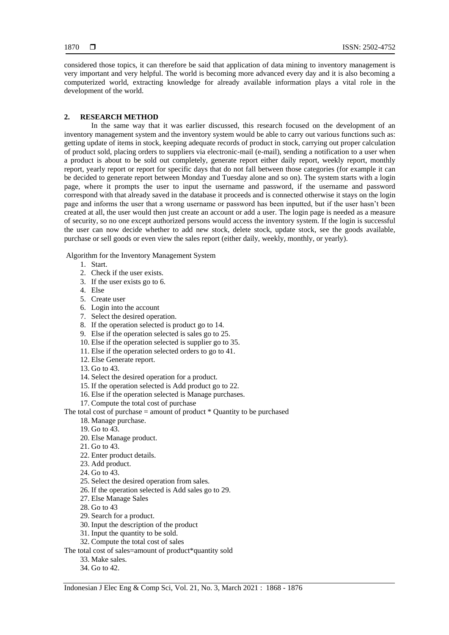considered those topics, it can therefore be said that application of data mining to inventory management is very important and very helpful. The world is becoming more advanced every day and it is also becoming a computerized world, extracting knowledge for already available information plays a vital role in the development of the world.

#### **2. RESEARCH METHOD**

In the same way that it was earlier discussed, this research focused on the development of an inventory management system and the inventory system would be able to carry out various functions such as: getting update of items in stock, keeping adequate records of product in stock, carrying out proper calculation of product sold, placing orders to suppliers via electronic-mail (e-mail), sending a notification to a user when a product is about to be sold out completely, generate report either daily report, weekly report, monthly report, yearly report or report for specific days that do not fall between those categories (for example it can be decided to generate report between Monday and Tuesday alone and so on). The system starts with a login page, where it prompts the user to input the username and password, if the username and password correspond with that already saved in the database it proceeds and is connected otherwise it stays on the login page and informs the user that a wrong username or password has been inputted, but if the user hasn't been created at all, the user would then just create an account or add a user. The login page is needed as a measure of security, so no one except authorized persons would access the inventory system. If the login is successful the user can now decide whether to add new stock, delete stock, update stock, see the goods available, purchase or sell goods or even view the sales report (either daily, weekly, monthly, or yearly).

Algorithm for the Inventory Management System

- 1. Start.
- 2. Check if the user exists.
- 3. If the user exists go to 6.
- 4. Else
- 5. Create user
- 6. Login into the account
- 7. Select the desired operation.
- 8. If the operation selected is product go to 14.
- 9. Else if the operation selected is sales go to 25.
- 10. Else if the operation selected is supplier go to 35.
- 11. Else if the operation selected orders to go to 41.
- 12. Else Generate report.
- 13. Go to 43.
- 14. Select the desired operation for a product.
- 15. If the operation selected is Add product go to 22.
- 16. Else if the operation selected is Manage purchases.
- 17. Compute the total cost of purchase

The total cost of purchase  $=$  amount of product  $*$  Quantity to be purchased

- 18. Manage purchase.
- 19. Go to 43.
- 20. Else Manage product.
- 21. Go to 43.
- 22. Enter product details.
- 23. Add product.
- 24. Go to 43.
- 25. Select the desired operation from sales.
- 26. If the operation selected is Add sales go to 29.
- 27. Else Manage Sales
- 28. Go to 43
- 29. Search for a product.
- 30. Input the description of the product
- 31. Input the quantity to be sold.
- 32. Compute the total cost of sales

The total cost of sales=amount of product\*quantity sold

- 33. Make sales.
- 34. Go to 42.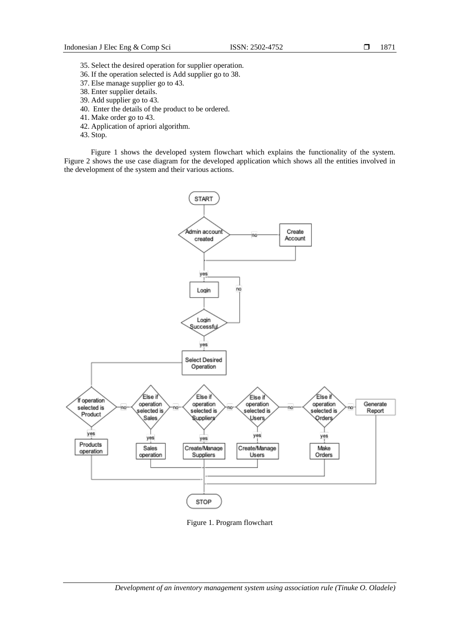- 35. Select the desired operation for supplier operation.
- 36. If the operation selected is Add supplier go to 38.
- 37. Else manage supplier go to 43.
- 38. Enter supplier details.
- 39. Add supplier go to 43.
- 40. Enter the details of the product to be ordered.
- 41. Make order go to 43.
- 42. Application of apriori algorithm.
- 43. Stop.

Figure 1 shows the developed system flowchart which explains the functionality of the system. Figure 2 shows the use case diagram for the developed application which shows all the entities involved in the development of the system and their various actions.



Figure 1. Program flowchart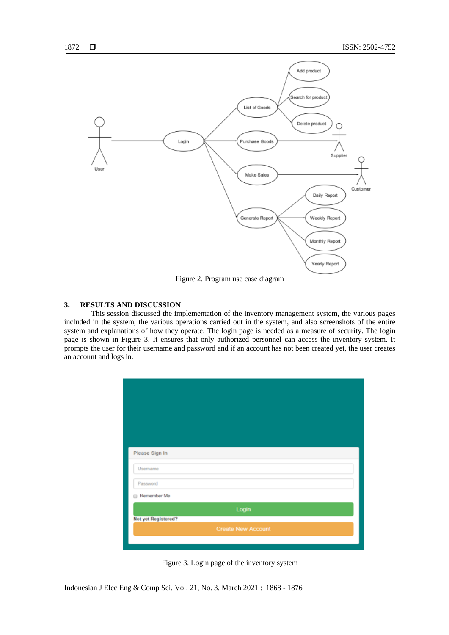

Figure 2. Program use case diagram

#### **3. RESULTS AND DISCUSSION**

This session discussed the implementation of the inventory management system, the various pages included in the system, the various operations carried out in the system, and also screenshots of the entire system and explanations of how they operate. The login page is needed as a measure of security. The login page is shown in Figure 3. It ensures that only authorized personnel can access the inventory system. It prompts the user for their username and password and if an account has not been created yet, the user creates an account and logs in.



Figure 3. Login page of the inventory system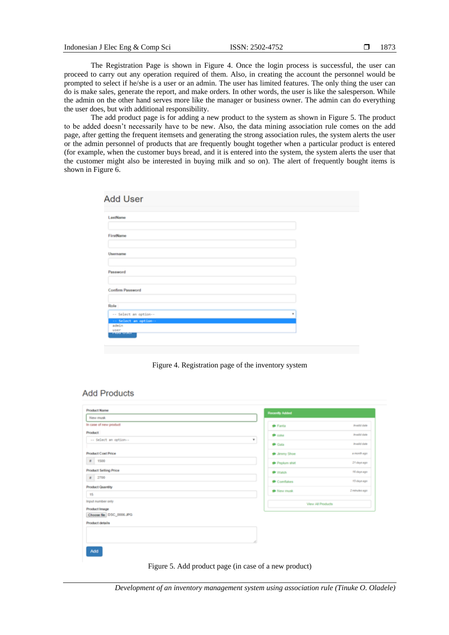The Registration Page is shown in Figure 4. Once the login process is successful, the user can proceed to carry out any operation required of them. Also, in creating the account the personnel would be prompted to select if he/she is a user or an admin. The user has limited features. The only thing the user can do is make sales, generate the report, and make orders. In other words, the user is like the salesperson. While the admin on the other hand serves more like the manager or business owner. The admin can do everything the user does, but with additional responsibility.

The add product page is for adding a new product to the system as shown in Figure 5. The product to be added doesn't necessarily have to be new. Also, the data mining association rule comes on the add page, after getting the frequent itemsets and generating the strong association rules, the system alerts the user or the admin personnel of products that are frequently bought together when a particular product is entered (for example, when the customer buys bread, and it is entered into the system, the system alerts the user that the customer might also be interested in buying milk and so on). The alert of frequently bought items is shown in Figure 6.

| LastName                         |   |
|----------------------------------|---|
|                                  |   |
| FirstName                        |   |
|                                  |   |
| Username                         |   |
|                                  |   |
| Password                         |   |
|                                  |   |
| Confirm Password                 |   |
|                                  |   |
| Role                             |   |
| -- Select an option--            | × |
| -- Select an option--            |   |
| admin<br>user                    |   |
| <b><i>CALLENGARY COMPANY</i></b> |   |

Figure 4. Registration page of the inventory system

### **Add Products**

| <b>Product Name</b>                | Recently Added        |                     |
|------------------------------------|-----------------------|---------------------|
| New musk                           |                       |                     |
| In case of new product             | <b>C</b> Fanta        | <b>Invelid date</b> |
| <b>Product</b>                     | $P$ color             | <b>Invelid date</b> |
| -- Select an option--              | ٠<br><b>P</b> Gala    | <b>Preside date</b> |
| <b>Product Cost Price</b>          | <b>P</b> Jmmy Shoe    | a month ago         |
| $+ 1500$                           | Peplum shirt          | 21 days ago         |
| <b>Product Selling Price</b>       | <b>P</b> Watch        | Fill days ago       |
| $8 - 2700$                         | Comfakes              | 13 days ago         |
| Product Quantity<br>15             | <sup>O</sup> New musk | 2 minutes ago       |
| Input number only<br>Product Image |                       | View All Products   |
| Choose file DSC_0006.JPG           |                       |                     |
| Product details                    |                       |                     |
|                                    |                       |                     |
| Add                                |                       |                     |

Figure 5. Add product page (in case of a new product)

*Development of an inventory management system using association rule (Tinuke O. Oladele)*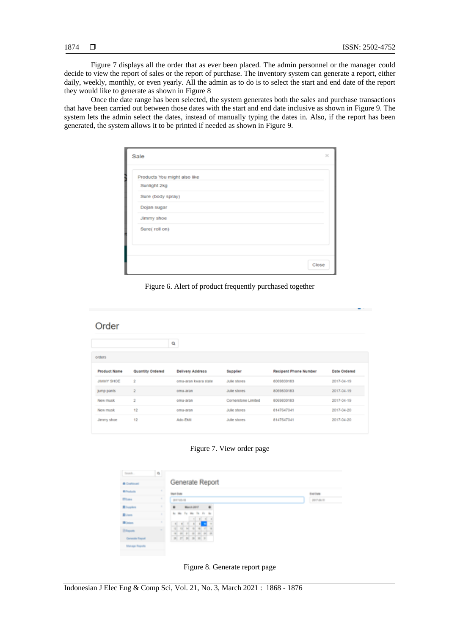Figure 7 displays all the order that as ever been placed. The admin personnel or the manager could decide to view the report of sales or the report of purchase. The inventory system can generate a report, either daily, weekly, monthly, or even yearly. All the admin as to do is to select the start and end date of the report they would like to generate as shown in Figure 8

Once the date range has been selected, the system generates both the sales and purchase transactions that have been carried out between those dates with the start and end date inclusive as shown in Figure 9. The system lets the admin select the dates, instead of manually typing the dates in. Also, if the report has been generated, the system allows it to be printed if needed as shown in Figure 9.

| Sale                         | $\mathbf{x}$ |
|------------------------------|--------------|
| Products You might also like |              |
| Sunlight 2kg                 |              |
| Sure (body spray)            |              |
| Dojan sugar                  |              |
| Jimmy shoe<br>Sure( roll on) |              |
|                              |              |
|                              |              |
|                              | Close        |

Figure 6. Alert of product frequently purchased together

## Order

|              |                  | a                       |                     |                       |              |
|--------------|------------------|-------------------------|---------------------|-----------------------|--------------|
| orders       |                  |                         |                     |                       |              |
| Product Name | Quantity Ordered | <b>Delivery Address</b> | Supplier            | Recipent Phone Number | Date Ordered |
| JIMMY SHOE   | $\ddot{\rm}$     | omu-aran kwara state    | Julie stores        | 8069830183            | 2017-04-19   |
| jump pants   | $\bar{z}$        | omu-aran                | Julie stores        | 8069830183            | 2017-04-19   |
| New musk     | $\overline{2}$   | omu-aran                | Cornerstone Limited | 8069830183            | 2017-04-19   |
| New musk     | 12               | omu-aran                | Julie stores        | 8147647041            | 2017-04-20   |
| Jimmy shoe   | 12               | Ado-Ekiti               | Julie stores        | 8147647041            | 2017-04-20   |

Figure 7. View order page

| <b>Teach</b>            | Đ. |                                                                                    |            |
|-------------------------|----|------------------------------------------------------------------------------------|------------|
| <b>B Continent</b>      |    | Generate Report                                                                    |            |
| <b>Diffusion</b>        |    | Start Date                                                                         | Eve (was   |
| <b>Black</b>            | ч  | 2017-03-10                                                                         | 2017-04-18 |
| <b>Blocker</b>          |    | 崔<br><b>Handa 2017</b><br>量                                                        |            |
| <b>Bows</b>             | ×  | the the fire that the the<br><b>B</b><br>EL B.                                     |            |
| <b>BONS</b>             |    | 16<br>m.<br>-81<br>ш                                                               |            |
| <b>Britannik</b>        | m. | <b>INC. INC.</b><br>m<br><b>THE</b><br>面<br>m<br>m<br>20 20 20 21<br>in.<br>19 (8) |            |
| <b>Conventio Regard</b> |    | <b>B F B B B F</b>                                                                 |            |

Figure 8. Generate report page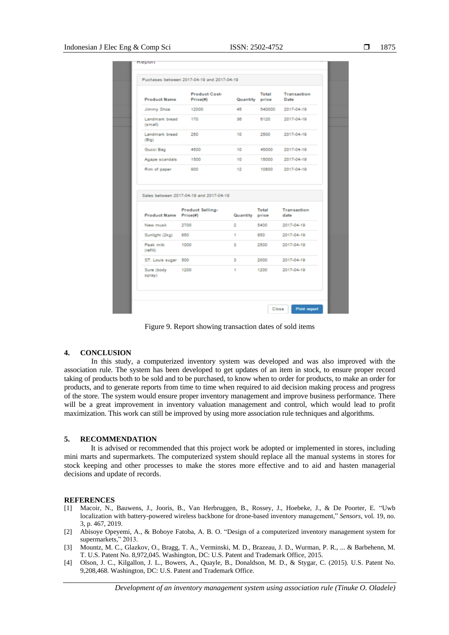| <b>Product Name</b>                                                       | Product Cost-<br>Price(#)                                   | Quantity price | Total  | Transaction<br>Date |
|---------------------------------------------------------------------------|-------------------------------------------------------------|----------------|--------|---------------------|
| Jimmy Shoe                                                                | 12000                                                       | 46             | 540000 | 2017-04-19          |
| Landmark bread<br>(small)                                                 | 170                                                         | 36             | 6120   | 2017-04-19          |
| Landmark bread<br>(Biq)                                                   | 250                                                         | 10             | 2500   | 2017-04-19          |
| Gucci Bag                                                                 | 4500                                                        | 10             | 45000  | 2017-04-19          |
| Agape scandals                                                            | 1500                                                        | 10             | 15000  | 2017-04-19          |
| Rim of paper                                                              | 900                                                         | 12             | 10800  | 2017-04-19          |
|                                                                           |                                                             |                |        |                     |
| Product Name Price(#)                                                     | Sales between 2017-04-19 and 2017-04-19<br>Product Selling- | Quantity price | Total  | Transaction<br>date |
|                                                                           | 2700                                                        | 2              | 5400   | 2017-04-19          |
|                                                                           | 850                                                         | 1              | 850    | 2017-04-19          |
|                                                                           | 1000                                                        | з              | 2500   | 2017-04-19          |
| New musk<br>Sunlight (2kg)<br>Peak milk<br>(10011)<br>ST. Louis sugar 500 |                                                             | з              | 2000   | 2017-04-19          |

Figure 9. Report showing transaction dates of sold items

#### **4. CONCLUSION**

In this study, a computerized inventory system was developed and was also improved with the association rule. The system has been developed to get updates of an item in stock, to ensure proper record taking of products both to be sold and to be purchased, to know when to order for products, to make an order for products, and to generate reports from time to time when required to aid decision making process and progress of the store. The system would ensure proper inventory management and improve business performance. There will be a great improvement in inventory valuation management and control, which would lead to profit maximization. This work can still be improved by using more association rule techniques and algorithms.

#### **5. RECOMMENDATION**

It is advised or recommended that this project work be adopted or implemented in stores, including mini marts and supermarkets. The computerized system should replace all the manual systems in stores for stock keeping and other processes to make the stores more effective and to aid and hasten managerial decisions and update of records.

#### **REFERENCES**

- [1] Macoir, N., Bauwens, J., Jooris, B., Van Herbruggen, B., Rossey, J., Hoebeke, J., & De Poorter, E. "Uwb localization with battery-powered wireless backbone for drone-based inventory management," *Sensors*, vol. 19, no. 3, p. 467, 2019.
- [2] Abisoye Opeyemi, A., & Boboye Fatoba, A. B. O. "Design of a computerized inventory management system for supermarkets," 2013.
- [3] Mountz, M. C., Glazkov, O., Bragg, T. A., Verminski, M. D., Brazeau, J. D., Wurman, P. R., ... & Barbehenn, M. T. U.S. Patent No. 8,972,045. Washington, DC: U.S. Patent and Trademark Office, 2015.
- [4] Olson, J. C., Kilgallon, J. L., Bowers, A., Quayle, B., Donaldson, M. D., & Stygar, C. (2015). U.S. Patent No. 9,208,468. Washington, DC: U.S. Patent and Trademark Office.